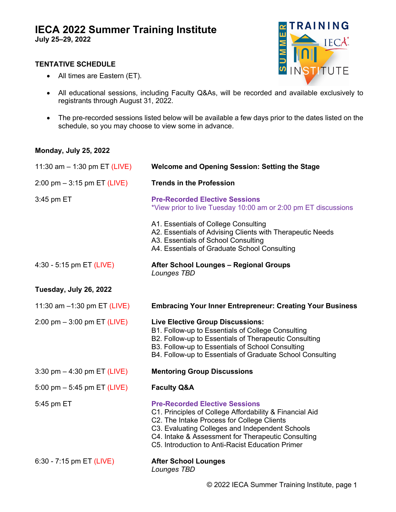# **IECA 2022 Summer Training Institute**

**July 25–29, 2022**

#### **TENTATIVE SCHEDULE**





- All educational sessions, including Faculty Q&As, will be recorded and available exclusively to registrants through August 31, 2022.
- The pre-recorded sessions listed below will be available a few days prior to the dates listed on the schedule, so you may choose to view some in advance.

#### **Monday, July 25, 2022**

| 11:30 am $-$ 1:30 pm ET (LIVE) | <b>Welcome and Opening Session: Setting the Stage</b>                                                                                                                                                                                                                                                       |
|--------------------------------|-------------------------------------------------------------------------------------------------------------------------------------------------------------------------------------------------------------------------------------------------------------------------------------------------------------|
| 2:00 pm $-$ 3:15 pm ET (LIVE)  | <b>Trends in the Profession</b>                                                                                                                                                                                                                                                                             |
| 3:45 pm ET                     | <b>Pre-Recorded Elective Sessions</b><br>*View prior to live Tuesday 10:00 am or 2:00 pm ET discussions                                                                                                                                                                                                     |
|                                | A1. Essentials of College Consulting<br>A2. Essentials of Advising Clients with Therapeutic Needs<br>A3. Essentials of School Consulting<br>A4. Essentials of Graduate School Consulting                                                                                                                    |
| 4:30 - 5:15 pm ET (LIVE)       | <b>After School Lounges - Regional Groups</b><br>Lounges TBD                                                                                                                                                                                                                                                |
| Tuesday, July 26, 2022         |                                                                                                                                                                                                                                                                                                             |
| 11:30 am -1:30 pm ET (LIVE)    | <b>Embracing Your Inner Entrepreneur: Creating Your Business</b>                                                                                                                                                                                                                                            |
| 2:00 pm $-$ 3:00 pm ET (LIVE)  | <b>Live Elective Group Discussions:</b><br>B1. Follow-up to Essentials of College Consulting<br>B2. Follow-up to Essentials of Therapeutic Consulting<br>B3. Follow-up to Essentials of School Consulting<br>B4. Follow-up to Essentials of Graduate School Consulting                                      |
| 3:30 pm $-$ 4:30 pm ET (LIVE)  | <b>Mentoring Group Discussions</b>                                                                                                                                                                                                                                                                          |
| 5:00 pm $-$ 5:45 pm ET (LIVE)  | <b>Faculty Q&amp;A</b>                                                                                                                                                                                                                                                                                      |
| 5:45 pm ET                     | <b>Pre-Recorded Elective Sessions</b><br>C1. Principles of College Affordability & Financial Aid<br>C2. The Intake Process for College Clients<br>C3. Evaluating Colleges and Independent Schools<br>C4. Intake & Assessment for Therapeutic Consulting<br>C5. Introduction to Anti-Racist Education Primer |
| 6:30 - 7:15 pm ET (LIVE)       | <b>After School Lounges</b><br>Lounges TBD                                                                                                                                                                                                                                                                  |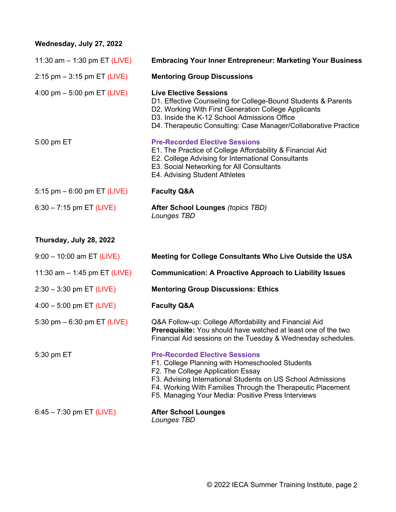## **Wednesday, July 27, 2022**

| 11:30 am $-$ 1:30 pm ET (LIVE) | <b>Embracing Your Inner Entrepreneur: Marketing Your Business</b>                                                                                                                                                                                                         |
|--------------------------------|---------------------------------------------------------------------------------------------------------------------------------------------------------------------------------------------------------------------------------------------------------------------------|
| $2:15$ pm $-3:15$ pm ET (LIVE) | <b>Mentoring Group Discussions</b>                                                                                                                                                                                                                                        |
| 4:00 pm $-$ 5:00 pm ET (LIVE)  | <b>Live Elective Sessions</b><br>D1. Effective Counseling for College-Bound Students & Parents<br>D2. Working With First Generation College Applicants<br>D3. Inside the K-12 School Admissions Office<br>D4. Therapeutic Consulting: Case Manager/Collaborative Practice |
| 5:00 pm ET                     | <b>Pre-Recorded Elective Sessions</b><br>E1. The Practice of College Affordability & Financial Aid<br>E2. College Advising for International Consultants<br>E3. Social Networking for All Consultants<br>E4. Advising Student Athletes                                    |
| 5:15 pm $-$ 6:00 pm ET (LIVE)  | <b>Faculty Q&amp;A</b>                                                                                                                                                                                                                                                    |
| $6:30 - 7:15$ pm ET (LIVE)     | <b>After School Lounges (topics TBD)</b><br>Lounges TBD                                                                                                                                                                                                                   |

## **Thursday, July 28, 2022**

| $9:00 - 10:00$ am ET (LIVE)    | Meeting for College Consultants Who Live Outside the USA                                                                                                                                                                                                                                                          |
|--------------------------------|-------------------------------------------------------------------------------------------------------------------------------------------------------------------------------------------------------------------------------------------------------------------------------------------------------------------|
| 11:30 am $-$ 1:45 pm ET (LIVE) | <b>Communication: A Proactive Approach to Liability Issues</b>                                                                                                                                                                                                                                                    |
| $2:30 - 3:30$ pm ET (LIVE)     | <b>Mentoring Group Discussions: Ethics</b>                                                                                                                                                                                                                                                                        |
| $4:00 - 5:00$ pm ET (LIVE)     | <b>Faculty Q&amp;A</b>                                                                                                                                                                                                                                                                                            |
| 5:30 pm $-$ 6:30 pm ET (LIVE)  | Q&A Follow-up: College Affordability and Financial Aid<br>Prerequisite: You should have watched at least one of the two<br>Financial Aid sessions on the Tuesday & Wednesday schedules.                                                                                                                           |
| 5:30 pm ET                     | <b>Pre-Recorded Elective Sessions</b><br>F1. College Planning with Homeschooled Students<br>F2. The College Application Essay<br>F3. Advising International Students on US School Admissions<br>F4. Working With Families Through the Therapeutic Placement<br>F5. Managing Your Media: Positive Press Interviews |
| $6:45 - 7:30$ pm ET (LIVE)     | <b>After School Lounges</b><br>Lounges TBD                                                                                                                                                                                                                                                                        |